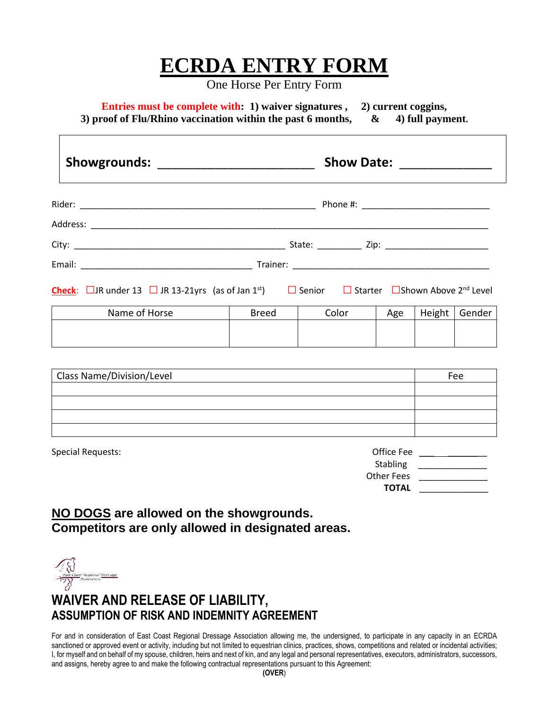## **ECRDA ENTRY FORM**

One Horse Per Entry Form

**Entries must be complete with: 1) waiver signatures , 2) current coggins, 3) proof of Flu/Rhino vaccination within the past 6 months, & 4) full payment.**

|                                                                                                                                    |               |              | Show Date: <u>_____________</u> |     |        |        |  |  |  |
|------------------------------------------------------------------------------------------------------------------------------------|---------------|--------------|---------------------------------|-----|--------|--------|--|--|--|
|                                                                                                                                    |               |              |                                 |     |        |        |  |  |  |
|                                                                                                                                    |               |              |                                 |     |        |        |  |  |  |
|                                                                                                                                    |               |              |                                 |     |        |        |  |  |  |
|                                                                                                                                    |               |              |                                 |     |        |        |  |  |  |
| <b>Check</b> : □JR under 13 □ JR 13-21yrs (as of Jan 1 <sup>st</sup> )   □ Senior   □ Starter  □ Shown Above 2 <sup>nd</sup> Level |               |              |                                 |     |        |        |  |  |  |
|                                                                                                                                    | Name of Horse | <b>Breed</b> | Color                           | Age | Height | Gender |  |  |  |
|                                                                                                                                    |               |              |                                 |     |        |        |  |  |  |

| <b>Class Name/Division/Level</b> | Fee |
|----------------------------------|-----|
|                                  |     |
|                                  |     |
|                                  |     |
|                                  |     |

| Special Requests: | Office Fee   |
|-------------------|--------------|
|                   | Stabling     |
|                   | Other Fees   |
|                   | <b>TOTAL</b> |
|                   |              |

## **NO DOGS are allowed on the showgrounds. Competitors are only allowed in designated areas.**

**San Coast Regional Drassage** 

ſ

## **WAIVER AND RELEASE OF LIABILITY, ASSUMPTION OF RISK AND INDEMNITY AGREEMENT**

For and in consideration of East Coast Regional Dressage Association allowing me, the undersigned, to participate in any capacity in an ECRDA sanctioned or approved event or activity, including but not limited to equestrian clinics, practices, shows, competitions and related or incidental activities; I, for myself and on behalf of my spouse, children, heirs and next of kin, and any legal and personal representatives, executors, administrators, successors, and assigns, hereby agree to and make the following contractual representations pursuant to this Agreement: